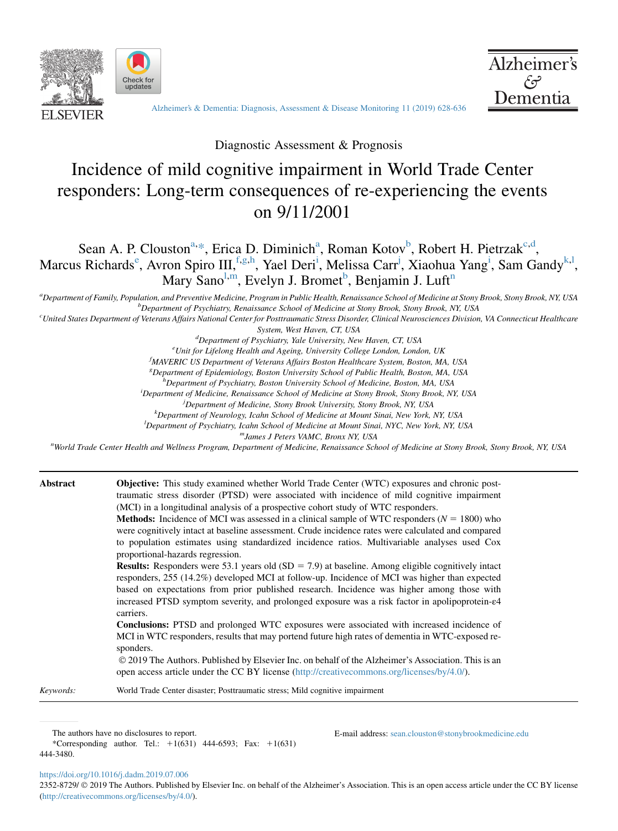





[Alzheimer's & Dementia: Diagnosis, Assessment & Disease Monitoring 11 \(2019\) 628-636](https://doi.org/10.1016/j.dadm.2019.07.006)

Diagnostic Assessment & Prognosis

# Incidence of mild cognitive impairment in World Trade Center responders: Long-term consequences of re-experiencing the events on 9/11/2001

## Sean A. P. Clouston<sup>a,\*</sup>, Erica D. Diminich<sup>a</sup>, Roman Kotov<sup>b</sup>, Robert H. Pietrzak<sup>c,d</sup>, Marcus Richards<sup>e</sup>, Avron Spiro III, <sup>f.g,h</sup>, Yael Deri<sup>i</sup>, Melissa Carr<sup>j</sup>, Xiaohua Yang<sup>i</sup>, Sam Gandy<sup>k,l</sup>, Mary Sano<sup>l,m</sup>, Evelyn J. Bromet<sup>b</sup>, Benjamin J. Luft<sup>n</sup>

a Department of Family, Population, and Preventive Medicine, Program in Public Health, Renaissance School of Medicine at Stony Brook, Stony Brook, NY, USA by Brook, NY, USA by Brook, NY, USA by Brook, NY, USA by Brook, NY,  $b$ Department of Psychiatry, Renaissance School of Medicine at Stony Brook, Stony Brook, NY, USA

<sup>c</sup>United States Department of Veterans Affairs National Center for Posttraumatic Stress Disorder, Clinical Neurosciences Division, VA Connecticut Healthcare

System, West Haven, CT, USA

d Department of Psychiatry, Yale University, New Haven, CT, USA<br><sup>e</sup>Unit for Lifelang Health and Agging, University College London, Lond

 $e$ Unit for Lifelong Health and Ageing, University College London, London, UK

<sup>f</sup>MAVERIC US Department of Veterans Affairs Boston Healthcare System, Boston, MA, USA

<sup>g</sup> Department of Epidemiology, Boston University School of Public Health, Boston, MA, USA

<sup>h</sup> Department of Psychiatry, Boston University School of Medicine, Boston, MA, USA<sup>i</sup> Department of Medicine, Pennissance School of Medicine at Stamy Brook, Number

<sup>i</sup>Department of Medicine, Renaissance School of Medicine at Stony Brook, Stony Brook, NY, USA

<sup>j</sup> Department of Medicine, Stony Brook University, Stony Brook, NY, USA

k Department of Neurology, Icahn School of Medicine at Mount Sinai, New York, NY, USA

Department of Psychiatry, Icahn School of Medicine at Mount Sinai, NYC, New York, NY, USA mJames J Peters VAMC, Bronx NY, USA <sup>n</sup>

World Trade Center Health and Wellness Program, Department of Medicine, Renaissance School of Medicine at Stony Brook, Stony Brook, NY, USA

| Abstract  | <b>Objective:</b> This study examined whether World Trade Center (WTC) exposures and chronic post-<br>traumatic stress disorder (PTSD) were associated with incidence of mild cognitive impairment<br>(MCI) in a longitudinal analysis of a prospective cohort study of WTC responders.<br><b>Methods:</b> Incidence of MCI was assessed in a clinical sample of WTC responders ( $N = 1800$ ) who<br>were cognitively intact at baseline assessment. Crude incidence rates were calculated and compared<br>to population estimates using standardized incidence ratios. Multivariable analyses used Cox<br>proportional-hazards regression. |
|-----------|----------------------------------------------------------------------------------------------------------------------------------------------------------------------------------------------------------------------------------------------------------------------------------------------------------------------------------------------------------------------------------------------------------------------------------------------------------------------------------------------------------------------------------------------------------------------------------------------------------------------------------------------|
|           | <b>Results:</b> Responders were 53.1 years old (SD = 7.9) at baseline. Among eligible cognitively intact<br>responders, 255 (14.2%) developed MCI at follow-up. Incidence of MCI was higher than expected<br>based on expectations from prior published research. Incidence was higher among those with<br>increased PTSD symptom severity, and prolonged exposure was a risk factor in apolipoprotein- $\epsilon$ 4<br>carriers.                                                                                                                                                                                                            |
|           | <b>Conclusions:</b> PTSD and prolonged WTC exposures were associated with increased incidence of<br>MCI in WTC responders, results that may portend future high rates of dementia in WTC-exposed re-<br>sponders.<br>© 2019 The Authors. Published by Elsevier Inc. on behalf of the Alzheimer's Association. This is an<br>open access article under the CC BY license (http://creativecommons.org/licenses/by/4.0/).                                                                                                                                                                                                                       |
| Keywords: | World Trade Center disaster; Posttraumatic stress; Mild cognitive impairment                                                                                                                                                                                                                                                                                                                                                                                                                                                                                                                                                                 |

The authors have no disclosures to report.

\*Corresponding author. Tel.:  $+1(631)$  444-6593; Fax:  $+1(631)$ 444-3480.

E-mail address: [sean.clouston@stonybrookmedicine.edu](mailto:sean.clouston@stonybrookmedicine.edu)

<https://doi.org/10.1016/j.dadm.2019.07.006>

2352-8729/  $\circledcirc$  2019 The Authors. Published by Elsevier Inc. on behalf of the Alzheimer's Association. This is an open access article under the CC BY license (<http://creativecommons.org/licenses/by/4.0/>).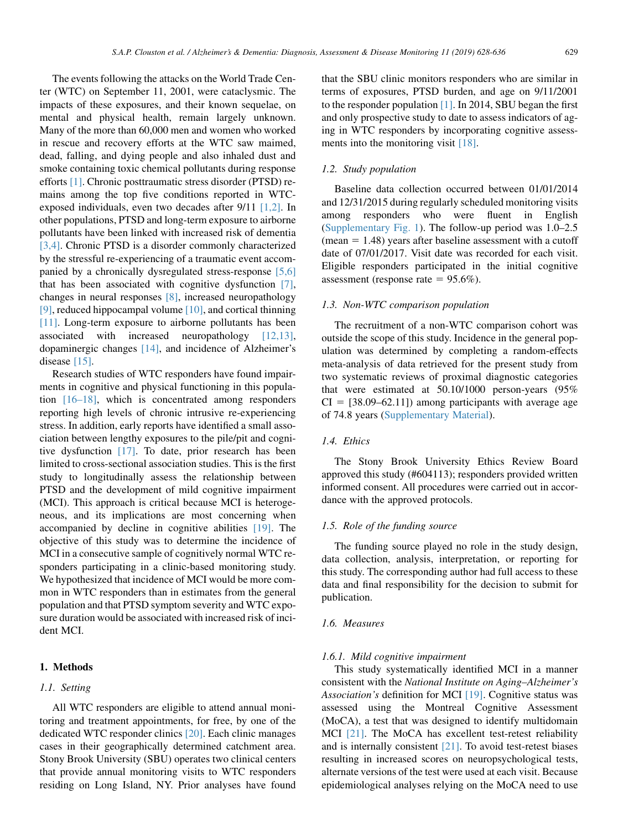The events following the attacks on the World Trade Center (WTC) on September 11, 2001, were cataclysmic. The impacts of these exposures, and their known sequelae, on mental and physical health, remain largely unknown. Many of the more than 60,000 men and women who worked in rescue and recovery efforts at the WTC saw maimed, dead, falling, and dying people and also inhaled dust and smoke containing toxic chemical pollutants during response efforts [\[1\].](#page-7-0) Chronic posttraumatic stress disorder (PTSD) remains among the top five conditions reported in WTCexposed individuals, even two decades after 9/11 [\[1,2\].](#page-7-0) In other populations, PTSD and long-term exposure to airborne pollutants have been linked with increased risk of dementia [\[3,4\]](#page-7-0). Chronic PTSD is a disorder commonly characterized by the stressful re-experiencing of a traumatic event accompanied by a chronically dysregulated stress-response [\[5,6\]](#page-7-0) that has been associated with cognitive dysfunction [\[7\],](#page-7-0) changes in neural responses [\[8\]](#page-7-0), increased neuropathology [\[9\],](#page-7-0) reduced hippocampal volume [\[10\]](#page-7-0), and cortical thinning [\[11\].](#page-7-0) Long-term exposure to airborne pollutants has been associated with increased neuropathology [\[12,13\],](#page-7-0) dopaminergic changes [\[14\]](#page-7-0), and incidence of Alzheimer's disease [\[15\]](#page-7-0).

Research studies of WTC responders have found impairments in cognitive and physical functioning in this population [\[16–18\]](#page-7-0), which is concentrated among responders reporting high levels of chronic intrusive re-experiencing stress. In addition, early reports have identified a small association between lengthy exposures to the pile/pit and cognitive dysfunction [\[17\]](#page-7-0). To date, prior research has been limited to cross-sectional association studies. This is the first study to longitudinally assess the relationship between PTSD and the development of mild cognitive impairment (MCI). This approach is critical because MCI is heterogeneous, and its implications are most concerning when accompanied by decline in cognitive abilities [\[19\].](#page-7-0) The objective of this study was to determine the incidence of MCI in a consecutive sample of cognitively normal WTC responders participating in a clinic-based monitoring study. We hypothesized that incidence of MCI would be more common in WTC responders than in estimates from the general population and that PTSD symptom severity and WTC exposure duration would be associated with increased risk of incident MCI.

## 1. Methods

#### 1.1. Setting

All WTC responders are eligible to attend annual monitoring and treatment appointments, for free, by one of the dedicated WTC responder clinics [\[20\]](#page-7-0). Each clinic manages cases in their geographically determined catchment area. Stony Brook University (SBU) operates two clinical centers that provide annual monitoring visits to WTC responders residing on Long Island, NY. Prior analyses have found that the SBU clinic monitors responders who are similar in terms of exposures, PTSD burden, and age on 9/11/2001 to the responder population [\[1\]](#page-7-0). In 2014, SBU began the first and only prospective study to date to assess indicators of aging in WTC responders by incorporating cognitive assessments into the monitoring visit [\[18\]](#page-7-0).

## 1.2. Study population

Baseline data collection occurred between 01/01/2014 and 12/31/2015 during regularly scheduled monitoring visits among responders who were fluent in English [\(Supplementary Fig. 1](#page-6-0)). The follow-up period was 1.0–2.5  $(mean = 1.48)$  years after baseline assessment with a cutoff date of 07/01/2017. Visit date was recorded for each visit. Eligible responders participated in the initial cognitive assessment (response rate =  $95.6\%$ ).

## 1.3. Non-WTC comparison population

The recruitment of a non-WTC comparison cohort was outside the scope of this study. Incidence in the general population was determined by completing a random-effects meta-analysis of data retrieved for the present study from two systematic reviews of proximal diagnostic categories that were estimated at 50.10/1000 person-years (95%  $CI = [38.09–62.11]$  among participants with average age of 74.8 years ([Supplementary Material\)](#page-6-0).

## 1.4. Ethics

The Stony Brook University Ethics Review Board approved this study (#604113); responders provided written informed consent. All procedures were carried out in accordance with the approved protocols.

## 1.5. Role of the funding source

The funding source played no role in the study design, data collection, analysis, interpretation, or reporting for this study. The corresponding author had full access to these data and final responsibility for the decision to submit for publication.

## 1.6. Measures

## 1.6.1. Mild cognitive impairment

This study systematically identified MCI in a manner consistent with the National Institute on Aging–Alzheimer's Association's definition for MCI [\[19\]](#page-7-0). Cognitive status was assessed using the Montreal Cognitive Assessment (MoCA), a test that was designed to identify multidomain MCI [\[21\].](#page-7-0) The MoCA has excellent test-retest reliability and is internally consistent [\[21\]](#page-7-0). To avoid test-retest biases resulting in increased scores on neuropsychological tests, alternate versions of the test were used at each visit. Because epidemiological analyses relying on the MoCA need to use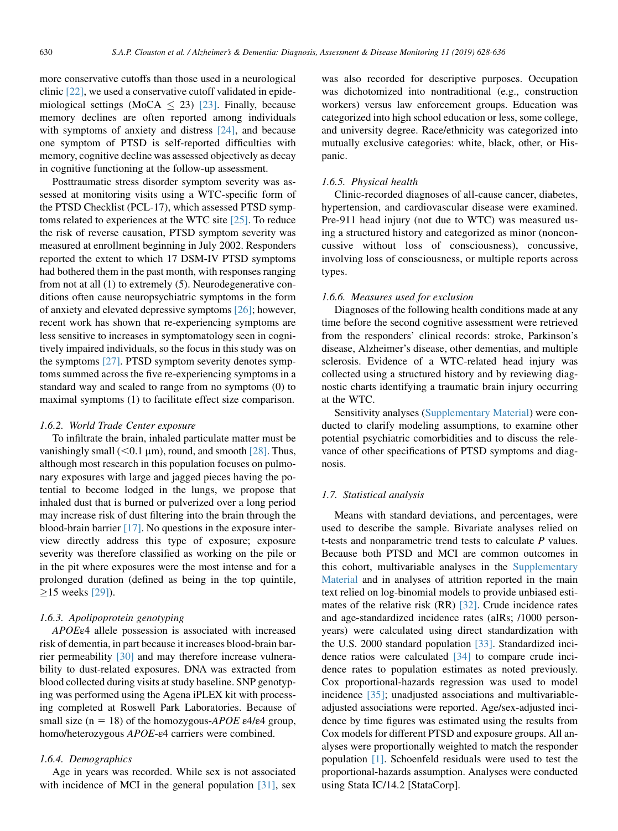more conservative cutoffs than those used in a neurological clinic [\[22\]](#page-7-0), we used a conservative cutoff validated in epidemiological settings (MoCA  $\leq$  23) [\[23\]](#page-7-0). Finally, because memory declines are often reported among individuals with symptoms of anxiety and distress [\[24\]](#page-7-0), and because one symptom of PTSD is self-reported difficulties with memory, cognitive decline was assessed objectively as decay in cognitive functioning at the follow-up assessment.

Posttraumatic stress disorder symptom severity was assessed at monitoring visits using a WTC-specific form of the PTSD Checklist (PCL-17), which assessed PTSD symptoms related to experiences at the WTC site [\[25\]](#page-7-0). To reduce the risk of reverse causation, PTSD symptom severity was measured at enrollment beginning in July 2002. Responders reported the extent to which 17 DSM-IV PTSD symptoms had bothered them in the past month, with responses ranging from not at all (1) to extremely (5). Neurodegenerative conditions often cause neuropsychiatric symptoms in the form of anxiety and elevated depressive symptoms [\[26\];](#page-7-0) however, recent work has shown that re-experiencing symptoms are less sensitive to increases in symptomatology seen in cognitively impaired individuals, so the focus in this study was on the symptoms [\[27\]](#page-7-0). PTSD symptom severity denotes symptoms summed across the five re-experiencing symptoms in a standard way and scaled to range from no symptoms (0) to maximal symptoms (1) to facilitate effect size comparison.

#### 1.6.2. World Trade Center exposure

To infiltrate the brain, inhaled particulate matter must be vanishingly small ( $<$ 0.1 µm), round, and smooth [\[28\]](#page-7-0). Thus, although most research in this population focuses on pulmonary exposures with large and jagged pieces having the potential to become lodged in the lungs, we propose that inhaled dust that is burned or pulverized over a long period may increase risk of dust filtering into the brain through the blood-brain barrier [\[17\].](#page-7-0) No questions in the exposure interview directly address this type of exposure; exposure severity was therefore classified as working on the pile or in the pit where exposures were the most intense and for a prolonged duration (defined as being in the top quintile,  $\geq$ 15 weeks [\[29\]\)](#page-7-0).

## 1.6.3. Apolipoprotein genotyping

APOEε4 allele possession is associated with increased risk of dementia, in part because it increases blood-brain barrier permeability [\[30\]](#page-7-0) and may therefore increase vulnerability to dust-related exposures. DNA was extracted from blood collected during visits at study baseline. SNP genotyping was performed using the Agena iPLEX kit with processing completed at Roswell Park Laboratories. Because of small size (n = 18) of the homozygous- $APOE$  ε4/ε4 group, homo/heterozygous APOE-ε4 carriers were combined.

## 1.6.4. Demographics

Age in years was recorded. While sex is not associated with incidence of MCI in the general population [\[31\],](#page-7-0) sex was also recorded for descriptive purposes. Occupation was dichotomized into nontraditional (e.g., construction workers) versus law enforcement groups. Education was categorized into high school education or less, some college, and university degree. Race/ethnicity was categorized into mutually exclusive categories: white, black, other, or Hispanic.

#### 1.6.5. Physical health

Clinic-recorded diagnoses of all-cause cancer, diabetes, hypertension, and cardiovascular disease were examined. Pre-911 head injury (not due to WTC) was measured using a structured history and categorized as minor (nonconcussive without loss of consciousness), concussive, involving loss of consciousness, or multiple reports across types.

## 1.6.6. Measures used for exclusion

Diagnoses of the following health conditions made at any time before the second cognitive assessment were retrieved from the responders' clinical records: stroke, Parkinson's disease, Alzheimer's disease, other dementias, and multiple sclerosis. Evidence of a WTC-related head injury was collected using a structured history and by reviewing diagnostic charts identifying a traumatic brain injury occurring at the WTC.

Sensitivity analyses ([Supplementary Material\)](#page-6-0) were conducted to clarify modeling assumptions, to examine other potential psychiatric comorbidities and to discuss the relevance of other specifications of PTSD symptoms and diagnosis.

#### 1.7. Statistical analysis

Means with standard deviations, and percentages, were used to describe the sample. Bivariate analyses relied on t-tests and nonparametric trend tests to calculate  $P$  values. Because both PTSD and MCI are common outcomes in this cohort, multivariable analyses in the [Supplementary](#page-6-0) [Material](#page-6-0) and in analyses of attrition reported in the main text relied on log-binomial models to provide unbiased estimates of the relative risk (RR) [\[32\].](#page-7-0) Crude incidence rates and age-standardized incidence rates (aIRs; /1000 personyears) were calculated using direct standardization with the U.S. 2000 standard population [\[33\]](#page-7-0). Standardized incidence ratios were calculated [\[34\]](#page-7-0) to compare crude incidence rates to population estimates as noted previously. Cox proportional-hazards regression was used to model incidence [\[35\];](#page-7-0) unadjusted associations and multivariableadjusted associations were reported. Age/sex-adjusted incidence by time figures was estimated using the results from Cox models for different PTSD and exposure groups. All analyses were proportionally weighted to match the responder population [\[1\]](#page-7-0). Schoenfeld residuals were used to test the proportional-hazards assumption. Analyses were conducted using Stata IC/14.2 [StataCorp].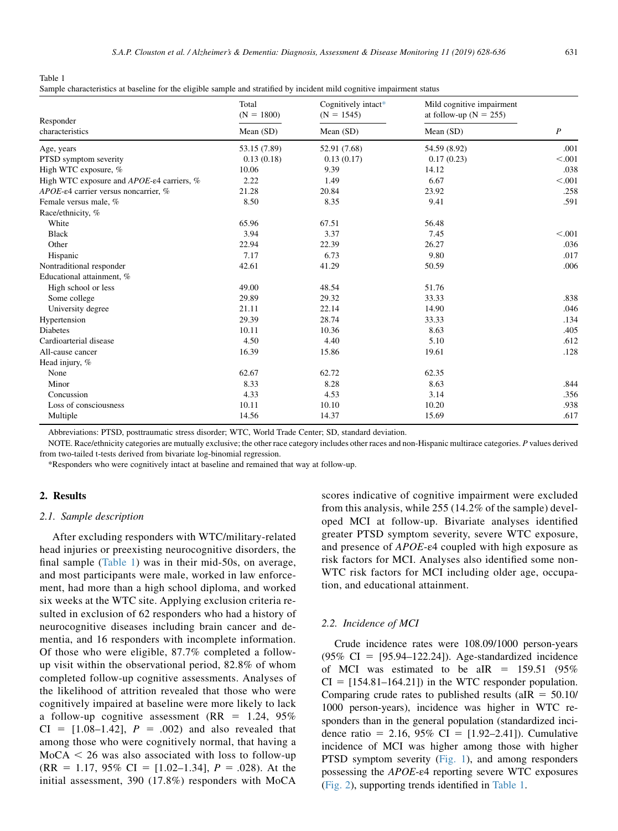Table 1

| Sample characteristics at baseline for the eligible sample and stratified by incident mild cognitive impairment status<br>그는 그는 그들은 그 그 그 그 그 그 일을 하고 그 그 일을 하고 있다. 그는 그 그 그 그 그 그 그 그 일을 하고 그 그 일을 하고 있다. 그 그 그 그는 그 그 그 그는 그 그 그는 그 그는 |  |
|------------------------------------------------------------------------------------------------------------------------------------------------------------------------------------------------------------------------------------------|--|
|------------------------------------------------------------------------------------------------------------------------------------------------------------------------------------------------------------------------------------------|--|

| Responder                                             | Total<br>$(N = 1800)$<br>Mean (SD) | Cognitively intact*<br>$(N = 1545)$<br>Mean $(SD)$ | Mild cognitive impairment<br>at follow-up $(N = 255)$<br>Mean $(SD)$ | $\boldsymbol{P}$ |
|-------------------------------------------------------|------------------------------------|----------------------------------------------------|----------------------------------------------------------------------|------------------|
| characteristics                                       |                                    |                                                    |                                                                      |                  |
| Age, years                                            | 53.15 (7.89)                       | 52.91 (7.68)                                       | 54.59 (8.92)                                                         | .001             |
| PTSD symptom severity                                 | 0.13(0.18)                         | 0.13(0.17)                                         | 0.17(0.23)                                                           | < 0.001          |
| High WTC exposure, %                                  | 10.06                              | 9.39                                               | 14.12                                                                | .038             |
| High WTC exposure and APOE- $\epsilon$ 4 carriers, %  | 2.22                               | 1.49                                               | 6.67                                                                 | < 0.001          |
| $APOE$ - $\varepsilon$ 4 carrier versus noncarrier, % | 21.28                              | 20.84                                              | 23.92                                                                | .258             |
| Female versus male, %                                 | 8.50                               | 8.35                                               | 9.41                                                                 | .591             |
| Race/ethnicity, %                                     |                                    |                                                    |                                                                      |                  |
| White                                                 | 65.96                              | 67.51                                              | 56.48                                                                |                  |
| <b>Black</b>                                          | 3.94                               | 3.37                                               | 7.45                                                                 | < 0.001          |
| Other                                                 | 22.94                              | 22.39                                              | 26.27                                                                | .036             |
| Hispanic                                              | 7.17                               | 6.73                                               | 9.80                                                                 | .017             |
| Nontraditional responder                              | 42.61                              | 41.29                                              | 50.59                                                                | .006             |
| Educational attainment, %                             |                                    |                                                    |                                                                      |                  |
| High school or less                                   | 49.00                              | 48.54                                              | 51.76                                                                |                  |
| Some college                                          | 29.89                              | 29.32                                              | 33.33                                                                | .838             |
| University degree                                     | 21.11                              | 22.14                                              | 14.90                                                                | .046             |
| Hypertension                                          | 29.39                              | 28.74                                              | 33.33                                                                | .134             |
| <b>Diabetes</b>                                       | 10.11                              | 10.36                                              | 8.63                                                                 | .405             |
| Cardioarterial disease                                | 4.50                               | 4.40                                               | 5.10                                                                 | .612             |
| All-cause cancer                                      | 16.39                              | 15.86                                              | 19.61                                                                | .128             |
| Head injury, %                                        |                                    |                                                    |                                                                      |                  |
| None                                                  | 62.67                              | 62.72                                              | 62.35                                                                |                  |
| Minor                                                 | 8.33                               | 8.28                                               | 8.63                                                                 | .844             |
| Concussion                                            | 4.33                               | 4.53                                               | 3.14                                                                 | .356             |
| Loss of consciousness                                 | 10.11                              | 10.10                                              | 10.20                                                                | .938             |
| Multiple                                              | 14.56                              | 14.37                                              | 15.69                                                                | .617             |

Abbreviations: PTSD, posttraumatic stress disorder; WTC, World Trade Center; SD, standard deviation.

NOTE. Race/ethnicity categories are mutually exclusive; the other race category includes other races and non-Hispanic multirace categories. P values derived from two-tailed t-tests derived from bivariate log-binomial regression.

\*Responders who were cognitively intact at baseline and remained that way at follow-up.

## 2. Results

#### 2.1. Sample description

After excluding responders with WTC/military-related head injuries or preexisting neurocognitive disorders, the final sample (Table 1) was in their mid-50s, on average, and most participants were male, worked in law enforcement, had more than a high school diploma, and worked six weeks at the WTC site. Applying exclusion criteria resulted in exclusion of 62 responders who had a history of neurocognitive diseases including brain cancer and dementia, and 16 responders with incomplete information. Of those who were eligible, 87.7% completed a followup visit within the observational period, 82.8% of whom completed follow-up cognitive assessments. Analyses of the likelihood of attrition revealed that those who were cognitively impaired at baseline were more likely to lack a follow-up cognitive assessment (RR =  $1.24$ , 95%)  $CI = [1.08-1.42], P = .002$  and also revealed that among those who were cognitively normal, that having a  $MoCA < 26$  was also associated with loss to follow-up  $(RR = 1.17, 95\% \text{ CI} = [1.02-1.34], P = .028$ . At the initial assessment, 390 (17.8%) responders with MoCA scores indicative of cognitive impairment were excluded from this analysis, while 255 (14.2% of the sample) developed MCI at follow-up. Bivariate analyses identified greater PTSD symptom severity, severe WTC exposure, and presence of APOE-ε4 coupled with high exposure as risk factors for MCI. Analyses also identified some non-WTC risk factors for MCI including older age, occupation, and educational attainment.

#### 2.2. Incidence of MCI

Crude incidence rates were 108.09/1000 person-years  $(95\% \text{ CI} = [95.94-122.24])$ . Age-standardized incidence of MCI was estimated to be aIR =  $159.51$  (95%)  $CI = [154.81 - 164.21]$  in the WTC responder population. Comparing crude rates to published results ( $aIR = 50.10/$ 1000 person-years), incidence was higher in WTC responders than in the general population (standardized incidence ratio = 2.16, 95% CI =  $[1.92-2.41]$ ). Cumulative incidence of MCI was higher among those with higher PTSD symptom severity ([Fig. 1\)](#page-4-0), and among responders possessing the APOE-ε4 reporting severe WTC exposures [\(Fig. 2\)](#page-4-0), supporting trends identified in Table 1.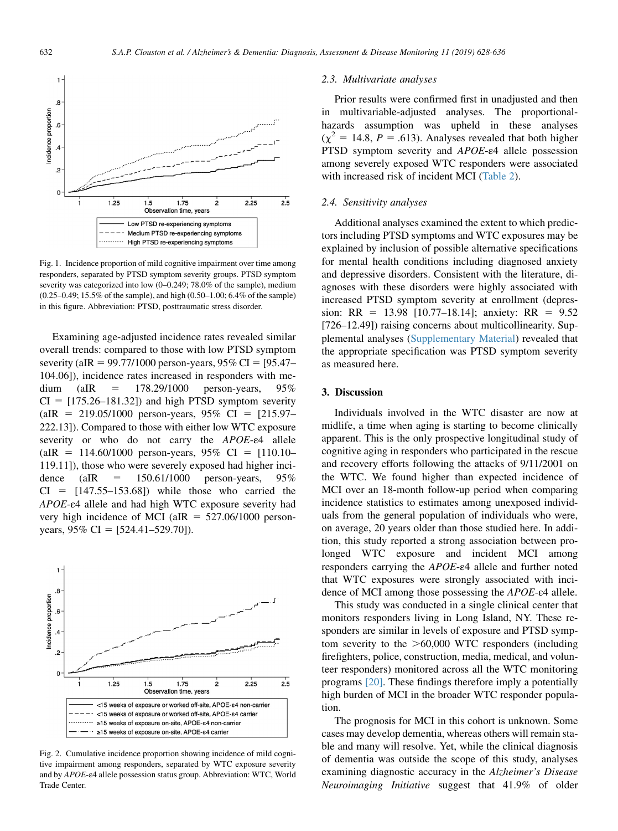<span id="page-4-0"></span>

Fig. 1. Incidence proportion of mild cognitive impairment over time among responders, separated by PTSD symptom severity groups. PTSD symptom severity was categorized into low (0–0.249; 78.0% of the sample), medium (0.25–0.49; 15.5% of the sample), and high (0.50–1.00; 6.4% of the sample) in this figure. Abbreviation: PTSD, posttraumatic stress disorder.

Examining age-adjusted incidence rates revealed similar overall trends: compared to those with low PTSD symptom severity (aIR = 99.77/1000 person-years,  $95\%$  CI = [95.47– 104.06]), incidence rates increased in responders with medium (aIR =  $178.29/1000$  person-years,  $95%$  $CI = [175.26-181.32]$  and high PTSD symptom severity  $(aIR = 219.05/1000$  person-years, 95% CI = [215.97– 222.13]). Compared to those with either low WTC exposure severity or who do not carry the APOE-ε4 allele (aIR =  $114.60/1000$  person-years, 95% CI = [110.10– 119.11]), those who were severely exposed had higher incidence (aIR =  $150.61/1000$  person-years,  $95%$  $CI = [147.55-153.68]$  while those who carried the APOE-ε4 allele and had high WTC exposure severity had very high incidence of MCI (aIR  $=$  527.06/1000 personyears,  $95\%$  CI = [524.41–529.70]).



Fig. 2. Cumulative incidence proportion showing incidence of mild cognitive impairment among responders, separated by WTC exposure severity and by APOE-ε4 allele possession status group. Abbreviation: WTC, World Trade Center.

#### 2.3. Multivariate analyses

Prior results were confirmed first in unadjusted and then in multivariable-adjusted analyses. The proportionalhazards assumption was upheld in these analyses  $(\chi^2 = 14.8, P = .613)$ . Analyses revealed that both higher PTSD symptom severity and APOE-ε4 allele possession among severely exposed WTC responders were associated with increased risk of incident MCI [\(Table 2\)](#page-5-0).

## 2.4. Sensitivity analyses

Additional analyses examined the extent to which predictors including PTSD symptoms and WTC exposures may be explained by inclusion of possible alternative specifications for mental health conditions including diagnosed anxiety and depressive disorders. Consistent with the literature, diagnoses with these disorders were highly associated with increased PTSD symptom severity at enrollment (depression: RR = 13.98 [10.77–18.14]; anxiety: RR =  $9.52$ [726–12.49]) raising concerns about multicollinearity. Supplemental analyses ([Supplementary Material\)](#page-6-0) revealed that the appropriate specification was PTSD symptom severity as measured here.

## 3. Discussion

Individuals involved in the WTC disaster are now at midlife, a time when aging is starting to become clinically apparent. This is the only prospective longitudinal study of cognitive aging in responders who participated in the rescue and recovery efforts following the attacks of 9/11/2001 on the WTC. We found higher than expected incidence of MCI over an 18-month follow-up period when comparing incidence statistics to estimates among unexposed individuals from the general population of individuals who were, on average, 20 years older than those studied here. In addition, this study reported a strong association between prolonged WTC exposure and incident MCI among responders carrying the APOE-ε4 allele and further noted that WTC exposures were strongly associated with incidence of MCI among those possessing the APOE-ε4 allele.

This study was conducted in a single clinical center that monitors responders living in Long Island, NY. These responders are similar in levels of exposure and PTSD symptom severity to the  $>60,000$  WTC responders (including firefighters, police, construction, media, medical, and volunteer responders) monitored across all the WTC monitoring programs [\[20\]](#page-7-0). These findings therefore imply a potentially high burden of MCI in the broader WTC responder population.

The prognosis for MCI in this cohort is unknown. Some cases may develop dementia, whereas others will remain stable and many will resolve. Yet, while the clinical diagnosis of dementia was outside the scope of this study, analyses examining diagnostic accuracy in the Alzheimer's Disease Neuroimaging Initiative suggest that 41.9% of older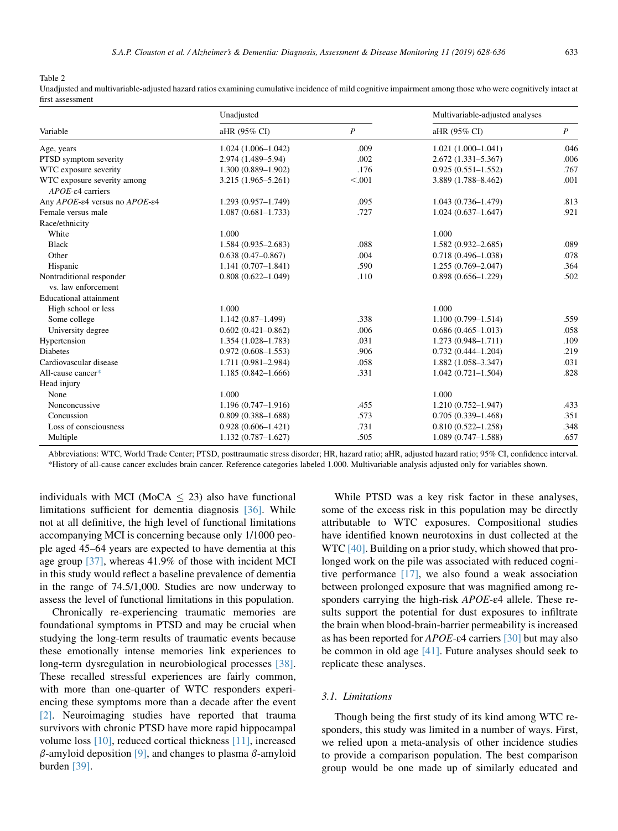<span id="page-5-0"></span>Table 2

Unadjusted and multivariable-adjusted hazard ratios examining cumulative incidence of mild cognitive impairment among those who were cognitively intact at first assessment

|                                                       | Unadjusted             | Multivariable-adjusted analyses |                        |                  |
|-------------------------------------------------------|------------------------|---------------------------------|------------------------|------------------|
| Variable                                              | aHR (95% CI)           | $\boldsymbol{P}$                | aHR (95% CI)           | $\boldsymbol{P}$ |
| Age, years                                            | $1.024(1.006-1.042)$   | .009                            | $1.021(1.000-1.041)$   | .046             |
| PTSD symptom severity                                 | 2.974 (1.489-5.94)     | .002                            | $2.672(1.331 - 5.367)$ | .006             |
| WTC exposure severity                                 | $1.300(0.889 - 1.902)$ | .176                            | $0.925(0.551 - 1.552)$ | .767             |
| WTC exposure severity among<br>$APOE$ - $e4$ carriers | 3.215 (1.965–5.261)    | < 0.001                         | 3.889 (1.788-8.462)    | .001             |
| Any APOE-ε4 versus no APOE-ε4                         | $1.293(0.957-1.749)$   | .095                            | $1.043(0.736-1.479)$   | .813             |
| Female versus male                                    | $1.087(0.681 - 1.733)$ | .727                            | $1.024(0.637-1.647)$   | .921             |
| Race/ethnicity                                        |                        |                                 |                        |                  |
| White                                                 | 1.000                  |                                 | 1.000                  |                  |
| <b>Black</b>                                          | $1.584(0.935 - 2.683)$ | .088                            | $1.582(0.932 - 2.685)$ | .089             |
| Other                                                 | $0.638(0.47 - 0.867)$  | .004                            | $0.718(0.496 - 1.038)$ | .078             |
| Hispanic                                              | $1.141(0.707 - 1.841)$ | .590                            | $1.255(0.769 - 2.047)$ | .364             |
| Nontraditional responder                              | $0.808(0.622 - 1.049)$ | .110                            | $0.898(0.656 - 1.229)$ | .502             |
| vs. law enforcement                                   |                        |                                 |                        |                  |
| <b>Educational attainment</b>                         |                        |                                 |                        |                  |
| High school or less                                   | 1.000                  |                                 | 1.000                  |                  |
| Some college                                          | $1.142(0.87-1.499)$    | .338                            | $1.100(0.799 - 1.514)$ | .559             |
| University degree                                     | $0.602(0.421 - 0.862)$ | .006                            | $0.686(0.465 - 1.013)$ | .058             |
| Hypertension                                          | $1.354(1.028 - 1.783)$ | .031                            | $1.273(0.948 - 1.711)$ | .109             |
| <b>Diabetes</b>                                       | $0.972(0.608 - 1.553)$ | .906                            | $0.732(0.444 - 1.204)$ | .219             |
| Cardiovascular disease                                | 1.711 (0.981-2.984)    | .058                            | $1.882(1.058 - 3.347)$ | .031             |
| All-cause cancer*                                     | $1.185(0.842 - 1.666)$ | .331                            | $1.042(0.721 - 1.504)$ | .828             |
| Head injury                                           |                        |                                 |                        |                  |
| None                                                  | 1.000                  |                                 | 1.000                  |                  |
| Nonconcussive                                         | $1.196(0.747-1.916)$   | .455                            | $1.210(0.752 - 1.947)$ | .433             |
| Concussion                                            | $0.809(0.388 - 1.688)$ | .573                            | $0.705(0.339 - 1.468)$ | .351             |
| Loss of consciousness                                 | $0.928(0.606 - 1.421)$ | .731                            | $0.810(0.522 - 1.258)$ | .348             |
| Multiple                                              | $1.132(0.787 - 1.627)$ | .505                            | $1.089(0.747 - 1.588)$ | .657             |

Abbreviations: WTC, World Trade Center; PTSD, posttraumatic stress disorder; HR, hazard ratio; aHR, adjusted hazard ratio; 95% CI, confidence interval. \*History of all-cause cancer excludes brain cancer. Reference categories labeled 1.000. Multivariable analysis adjusted only for variables shown.

individuals with MCI (MoCA  $\leq$  23) also have functional limitations sufficient for dementia diagnosis [\[36\]](#page-7-0). While not at all definitive, the high level of functional limitations accompanying MCI is concerning because only 1/1000 people aged 45–64 years are expected to have dementia at this age group [\[37\]](#page-7-0), whereas 41.9% of those with incident MCI in this study would reflect a baseline prevalence of dementia in the range of 74.5/1,000. Studies are now underway to assess the level of functional limitations in this population.

Chronically re-experiencing traumatic memories are foundational symptoms in PTSD and may be crucial when studying the long-term results of traumatic events because these emotionally intense memories link experiences to long-term dysregulation in neurobiological processes [\[38\].](#page-7-0) These recalled stressful experiences are fairly common, with more than one-quarter of WTC responders experiencing these symptoms more than a decade after the event [\[2\].](#page-7-0) Neuroimaging studies have reported that trauma survivors with chronic PTSD have more rapid hippocampal volume loss [\[10\]](#page-7-0), reduced cortical thickness [\[11\]](#page-7-0), increased  $\beta$ -amyloid deposition [\[9\],](#page-7-0) and changes to plasma  $\beta$ -amyloid burden [\[39\]](#page-7-0).

While PTSD was a key risk factor in these analyses, some of the excess risk in this population may be directly attributable to WTC exposures. Compositional studies have identified known neurotoxins in dust collected at the WTC [\[40\].](#page-8-0) Building on a prior study, which showed that prolonged work on the pile was associated with reduced cognitive performance [\[17\]](#page-7-0), we also found a weak association between prolonged exposure that was magnified among responders carrying the high-risk APOE-ε4 allele. These results support the potential for dust exposures to infiltrate the brain when blood-brain-barrier permeability is increased as has been reported for APOE-ε4 carriers [\[30\]](#page-7-0) but may also be common in old age [\[41\].](#page-8-0) Future analyses should seek to replicate these analyses.

## 3.1. Limitations

Though being the first study of its kind among WTC responders, this study was limited in a number of ways. First, we relied upon a meta-analysis of other incidence studies to provide a comparison population. The best comparison group would be one made up of similarly educated and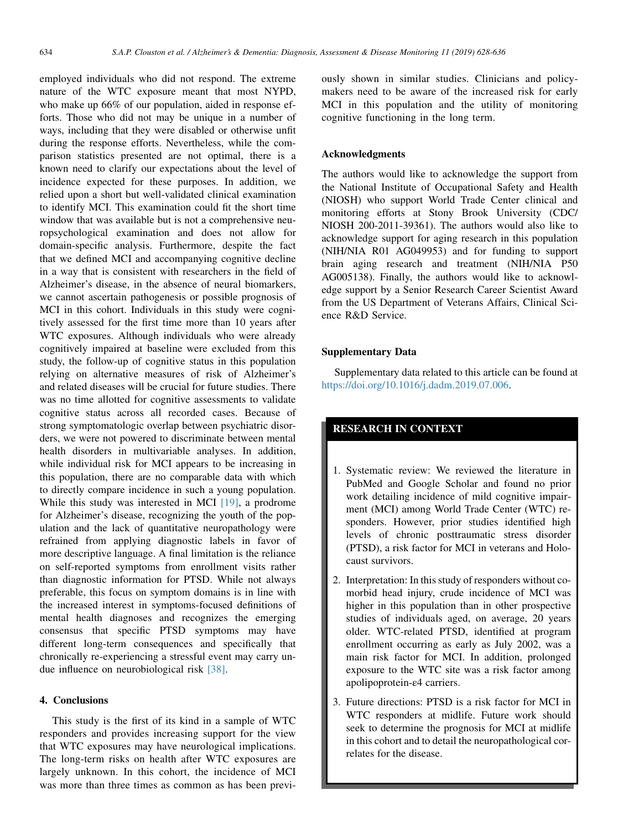<span id="page-6-0"></span>employed individuals who did not respond. The extreme nature of the WTC exposure meant that most NYPD, who make up 66% of our population, aided in response efforts. Those who did not may be unique in a number of ways, including that they were disabled or otherwise unfit during the response efforts. Nevertheless, while the comparison statistics presented are not optimal, there is a known need to clarify our expectations about the level of incidence expected for these purposes. In addition, we relied upon a short but well-validated clinical examination to identify MCI. This examination could fit the short time window that was available but is not a comprehensive neuropsychological examination and does not allow for domain-specific analysis. Furthermore, despite the fact that we defined MCI and accompanying cognitive decline in a way that is consistent with researchers in the field of Alzheimer's disease, in the absence of neural biomarkers, we cannot ascertain pathogenesis or possible prognosis of MCI in this cohort. Individuals in this study were cognitively assessed for the first time more than 10 years after WTC exposures. Although individuals who were already cognitively impaired at baseline were excluded from this study, the follow-up of cognitive status in this population relying on alternative measures of risk of Alzheimer's and related diseases will be crucial for future studies. There was no time allotted for cognitive assessments to validate cognitive status across all recorded cases. Because of strong symptomatologic overlap between psychiatric disorders, we were not powered to discriminate between mental health disorders in multivariable analyses. In addition, while individual risk for MCI appears to be increasing in this population, there are no comparable data with which to directly compare incidence in such a young population. While this study was interested in MCI [\[19\]](#page-7-0), a prodrome for Alzheimer's disease, recognizing the youth of the population and the lack of quantitative neuropathology were refrained from applying diagnostic labels in favor of more descriptive language. A final limitation is the reliance on self-reported symptoms from enrollment visits rather than diagnostic information for PTSD. While not always preferable, this focus on symptom domains is in line with the increased interest in symptoms-focused definitions of mental health diagnoses and recognizes the emerging consensus that specific PTSD symptoms may have different long-term consequences and specifically that chronically re-experiencing a stressful event may carry undue influence on neurobiological risk [\[38\]](#page-7-0).

#### 4. Conclusions

This study is the first of its kind in a sample of WTC responders and provides increasing support for the view that WTC exposures may have neurological implications. The long-term risks on health after WTC exposures are largely unknown. In this cohort, the incidence of MCI was more than three times as common as has been previously shown in similar studies. Clinicians and policymakers need to be aware of the increased risk for early MCI in this population and the utility of monitoring cognitive functioning in the long term.

## Acknowledgments

The authors would like to acknowledge the support from the National Institute of Occupational Safety and Health (NIOSH) who support World Trade Center clinical and monitoring efforts at Stony Brook University (CDC/ NIOSH 200-2011-39361). The authors would also like to acknowledge support for aging research in this population (NIH/NIA R01 AG049953) and for funding to support brain aging research and treatment (NIH/NIA P50 AG005138). Finally, the authors would like to acknowledge support by a Senior Research Career Scientist Award from the US Department of Veterans Affairs, Clinical Science R&D Service.

## Supplementary Data

Supplementary data related to this article can be found at <https://doi.org/10.1016/j.dadm.2019.07.006>.

## RESEARCH IN CONTEXT

- 1. Systematic review: We reviewed the literature in PubMed and Google Scholar and found no prior work detailing incidence of mild cognitive impairment (MCI) among World Trade Center (WTC) responders. However, prior studies identified high levels of chronic posttraumatic stress disorder (PTSD), a risk factor for MCI in veterans and Holocaust survivors.
- 2. Interpretation: In this study of responders without comorbid head injury, crude incidence of MCI was higher in this population than in other prospective studies of individuals aged, on average, 20 years older. WTC-related PTSD, identified at program enrollment occurring as early as July 2002, was a main risk factor for MCI. In addition, prolonged exposure to the WTC site was a risk factor among apolipoprotein-ε4 carriers.
- 3. Future directions: PTSD is a risk factor for MCI in WTC responders at midlife. Future work should seek to determine the prognosis for MCI at midlife in this cohort and to detail the neuropathological correlates for the disease.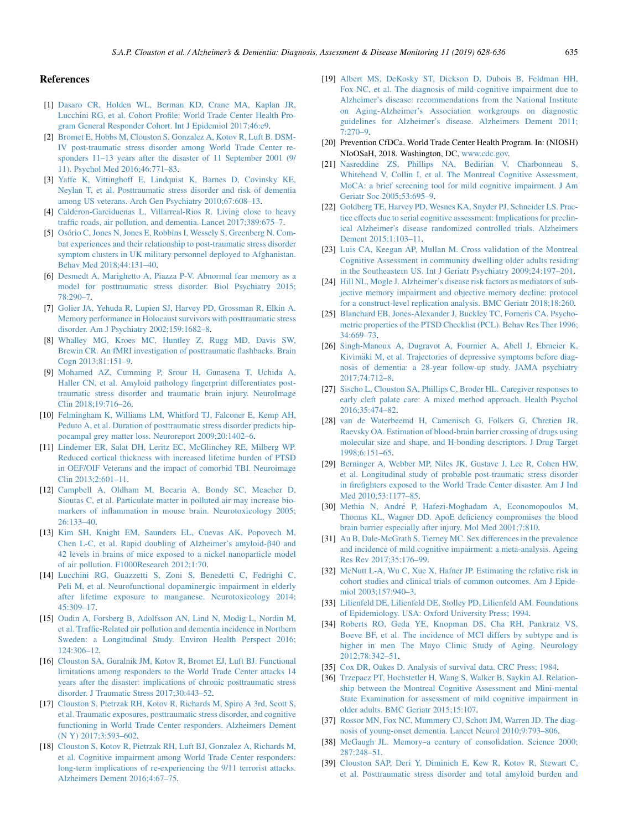#### <span id="page-7-0"></span>References

- [1] [Dasaro CR, Holden WL, Berman KD, Crane MA, Kaplan JR,](http://refhub.elsevier.com/S2352-8729(19)30057-0/sref1) [Lucchini RG, et al. Cohort Profile: World Trade Center Health Pro](http://refhub.elsevier.com/S2352-8729(19)30057-0/sref1)[gram General Responder Cohort. Int J Epidemiol 2017;46:e9.](http://refhub.elsevier.com/S2352-8729(19)30057-0/sref1)
- [2] [Bromet E, Hobbs M, Clouston S, Gonzalez A, Kotov R, Luft B. DSM-](http://refhub.elsevier.com/S2352-8729(19)30057-0/sref2)[IV post-traumatic stress disorder among World Trade Center re](http://refhub.elsevier.com/S2352-8729(19)30057-0/sref2)[sponders 11–13 years after the disaster of 11 September 2001 \(9/](http://refhub.elsevier.com/S2352-8729(19)30057-0/sref2) [11\). Psychol Med 2016;46:771–83](http://refhub.elsevier.com/S2352-8729(19)30057-0/sref2).
- [3] [Yaffe K, Vittinghoff E, Lindquist K, Barnes D, Covinsky KE,](http://refhub.elsevier.com/S2352-8729(19)30057-0/sref3) [Neylan T, et al. Posttraumatic stress disorder and risk of dementia](http://refhub.elsevier.com/S2352-8729(19)30057-0/sref3) [among US veterans. Arch Gen Psychiatry 2010;67:608–13.](http://refhub.elsevier.com/S2352-8729(19)30057-0/sref3)
- [4] [Calderon-Garciduenas L, Villarreal-Rios R. Living close to heavy](http://refhub.elsevier.com/S2352-8729(19)30057-0/sref4) [traffic roads, air pollution, and dementia. Lancet 2017;389:675–7.](http://refhub.elsevier.com/S2352-8729(19)30057-0/sref4)
- [5] [Os](http://refhub.elsevier.com/S2352-8729(19)30057-0/sref5)o[rio C, Jones N, Jones E, Robbins I, Wessely S, Greenberg N. Com](http://refhub.elsevier.com/S2352-8729(19)30057-0/sref5)[bat experiences and their relationship to post-traumatic stress disorder](http://refhub.elsevier.com/S2352-8729(19)30057-0/sref5) [symptom clusters in UK military personnel deployed to Afghanistan.](http://refhub.elsevier.com/S2352-8729(19)30057-0/sref5) [Behav Med 2018;44:131–40.](http://refhub.elsevier.com/S2352-8729(19)30057-0/sref5)
- [6] [Desmedt A, Marighetto A, Piazza P-V. Abnormal fear memory as a](http://refhub.elsevier.com/S2352-8729(19)30057-0/sref6) [model for posttraumatic stress disorder. Biol Psychiatry 2015;](http://refhub.elsevier.com/S2352-8729(19)30057-0/sref6) [78:290–7](http://refhub.elsevier.com/S2352-8729(19)30057-0/sref6).
- [7] [Golier JA, Yehuda R, Lupien SJ, Harvey PD, Grossman R, Elkin A.](http://refhub.elsevier.com/S2352-8729(19)30057-0/sref7) [Memory performance in Holocaust survivors with posttraumatic stress](http://refhub.elsevier.com/S2352-8729(19)30057-0/sref7) [disorder. Am J Psychiatry 2002;159:1682–8](http://refhub.elsevier.com/S2352-8729(19)30057-0/sref7).
- [8] [Whalley MG, Kroes MC, Huntley Z, Rugg MD, Davis SW,](http://refhub.elsevier.com/S2352-8729(19)30057-0/sref8) [Brewin CR. An fMRI investigation of posttraumatic flashbacks. Brain](http://refhub.elsevier.com/S2352-8729(19)30057-0/sref8) [Cogn 2013;81:151–9.](http://refhub.elsevier.com/S2352-8729(19)30057-0/sref8)
- [9] [Mohamed AZ, Cumming P, Srour H, Gunasena T, Uchida A,](http://refhub.elsevier.com/S2352-8729(19)30057-0/sref9) [Haller CN, et al. Amyloid pathology fingerprint differentiates post](http://refhub.elsevier.com/S2352-8729(19)30057-0/sref9)[traumatic stress disorder and traumatic brain injury. NeuroImage](http://refhub.elsevier.com/S2352-8729(19)30057-0/sref9) [Clin 2018;19:716–26](http://refhub.elsevier.com/S2352-8729(19)30057-0/sref9).
- [10] [Felmingham K, Williams LM, Whitford TJ, Falconer E, Kemp AH,](http://refhub.elsevier.com/S2352-8729(19)30057-0/sref10) [Peduto A, et al. Duration of posttraumatic stress disorder predicts hip](http://refhub.elsevier.com/S2352-8729(19)30057-0/sref10)[pocampal grey matter loss. Neuroreport 2009;20:1402–6](http://refhub.elsevier.com/S2352-8729(19)30057-0/sref10).
- [11] [Lindemer ER, Salat DH, Leritz EC, McGlinchey RE, Milberg WP.](http://refhub.elsevier.com/S2352-8729(19)30057-0/sref11) [Reduced cortical thickness with increased lifetime burden of PTSD](http://refhub.elsevier.com/S2352-8729(19)30057-0/sref11) [in OEF/OIF Veterans and the impact of comorbid TBI. Neuroimage](http://refhub.elsevier.com/S2352-8729(19)30057-0/sref11) [Clin 2013;2:601–11](http://refhub.elsevier.com/S2352-8729(19)30057-0/sref11).
- [12] [Campbell A, Oldham M, Becaria A, Bondy SC, Meacher D,](http://refhub.elsevier.com/S2352-8729(19)30057-0/sref12) [Sioutas C, et al. Particulate matter in polluted air may increase bio](http://refhub.elsevier.com/S2352-8729(19)30057-0/sref12)[markers of inflammation in mouse brain. Neurotoxicology 2005;](http://refhub.elsevier.com/S2352-8729(19)30057-0/sref12)  $26:133-40.$
- [13] [Kim SH, Knight EM, Saunders EL, Cuevas AK, Popovech M,](http://refhub.elsevier.com/S2352-8729(19)30057-0/sref13) [Chen L-C, et al. Rapid doubling of Alzheimer's amyloid-](http://refhub.elsevier.com/S2352-8729(19)30057-0/sref13)b40 and [42 levels in brains of mice exposed to a nickel nanoparticle model](http://refhub.elsevier.com/S2352-8729(19)30057-0/sref13) [of air pollution. F1000Research 2012;1:70.](http://refhub.elsevier.com/S2352-8729(19)30057-0/sref13)
- [14] [Lucchini RG, Guazzetti S, Zoni S, Benedetti C, Fedrighi C,](http://refhub.elsevier.com/S2352-8729(19)30057-0/sref14) [Peli M, et al. Neurofunctional dopaminergic impairment in elderly](http://refhub.elsevier.com/S2352-8729(19)30057-0/sref14) [after lifetime exposure to manganese. Neurotoxicology 2014;](http://refhub.elsevier.com/S2352-8729(19)30057-0/sref14)  $45:309 - 17$ .
- [15] [Oudin A, Forsberg B, Adolfsson AN, Lind N, Modig L, Nordin M,](http://refhub.elsevier.com/S2352-8729(19)30057-0/sref15) [et al. Traffic-Related air pollution and dementia incidence in Northern](http://refhub.elsevier.com/S2352-8729(19)30057-0/sref15) [Sweden: a Longitudinal Study. Environ Health Perspect 2016;](http://refhub.elsevier.com/S2352-8729(19)30057-0/sref15) [124:306–12](http://refhub.elsevier.com/S2352-8729(19)30057-0/sref15).
- [16] [Clouston SA, Guralnik JM, Kotov R, Bromet EJ, Luft BJ. Functional](http://refhub.elsevier.com/S2352-8729(19)30057-0/sref16) [limitations among responders to the World Trade Center attacks 14](http://refhub.elsevier.com/S2352-8729(19)30057-0/sref16) [years after the disaster: implications of chronic posttraumatic stress](http://refhub.elsevier.com/S2352-8729(19)30057-0/sref16) [disorder. J Traumatic Stress 2017;30:443–52.](http://refhub.elsevier.com/S2352-8729(19)30057-0/sref16)
- [17] [Clouston S, Pietrzak RH, Kotov R, Richards M, Spiro A 3rd, Scott S,](http://refhub.elsevier.com/S2352-8729(19)30057-0/sref17) [et al. Traumatic exposures, posttraumatic stress disorder, and cognitive](http://refhub.elsevier.com/S2352-8729(19)30057-0/sref17) [functioning in World Trade Center responders. Alzheimers Dement](http://refhub.elsevier.com/S2352-8729(19)30057-0/sref17) [\(N Y\) 2017;3:593–602.](http://refhub.elsevier.com/S2352-8729(19)30057-0/sref17)
- [18] [Clouston S, Kotov R, Pietrzak RH, Luft BJ, Gonzalez A, Richards M,](http://refhub.elsevier.com/S2352-8729(19)30057-0/sref18) [et al. Cognitive impairment among World Trade Center responders:](http://refhub.elsevier.com/S2352-8729(19)30057-0/sref18) [long-term implications of re-experiencing the 9/11 terrorist attacks.](http://refhub.elsevier.com/S2352-8729(19)30057-0/sref18) [Alzheimers Dement 2016;4:67–75.](http://refhub.elsevier.com/S2352-8729(19)30057-0/sref18)
- [19] [Albert MS, DeKosky ST, Dickson D, Dubois B, Feldman HH,](http://refhub.elsevier.com/S2352-8729(19)30057-0/sref19) [Fox NC, et al. The diagnosis of mild cognitive impairment due to](http://refhub.elsevier.com/S2352-8729(19)30057-0/sref19) [Alzheimer's disease: recommendations from the National Institute](http://refhub.elsevier.com/S2352-8729(19)30057-0/sref19) [on Aging-Alzheimer's Association workgroups on diagnostic](http://refhub.elsevier.com/S2352-8729(19)30057-0/sref19) [guidelines for Alzheimer's disease. Alzheimers Dement 2011;](http://refhub.elsevier.com/S2352-8729(19)30057-0/sref19) [7:270–9.](http://refhub.elsevier.com/S2352-8729(19)30057-0/sref19)
- [20] Prevention CfDCa. World Trade Center Health Program. In: (NIOSH) NIoOSaH, 2018. Washington, DC, [www.cdc.gov.](http://www.cdc.gov)
- [21] [Nasreddine ZS, Phillips NA, Bedirian V, Charbonneau S,](http://refhub.elsevier.com/S2352-8729(19)30057-0/sref21) [Whitehead V, Collin I, et al. The Montreal Cognitive Assessment,](http://refhub.elsevier.com/S2352-8729(19)30057-0/sref21) [MoCA: a brief screening tool for mild cognitive impairment. J Am](http://refhub.elsevier.com/S2352-8729(19)30057-0/sref21) [Geriatr Soc 2005;53:695–9](http://refhub.elsevier.com/S2352-8729(19)30057-0/sref21).
- [22] [Goldberg TE, Harvey PD, Wesnes KA, Snyder PJ, Schneider LS. Prac](http://refhub.elsevier.com/S2352-8729(19)30057-0/sref22)[tice effects due to serial cognitive assessment: Implications for preclin](http://refhub.elsevier.com/S2352-8729(19)30057-0/sref22)[ical Alzheimer's disease randomized controlled trials. Alzheimers](http://refhub.elsevier.com/S2352-8729(19)30057-0/sref22) [Dement 2015;1:103–11.](http://refhub.elsevier.com/S2352-8729(19)30057-0/sref22)
- [23] [Luis CA, Keegan AP, Mullan M. Cross validation of the Montreal](http://refhub.elsevier.com/S2352-8729(19)30057-0/sref23) [Cognitive Assessment in community dwelling older adults residing](http://refhub.elsevier.com/S2352-8729(19)30057-0/sref23) [in the Southeastern US. Int J Geriatr Psychiatry 2009;24:197–201.](http://refhub.elsevier.com/S2352-8729(19)30057-0/sref23)
- [24] [Hill NL, Mogle J. Alzheimer's disease risk factors as mediators of sub](http://refhub.elsevier.com/S2352-8729(19)30057-0/sref24)[jective memory impairment and objective memory decline: protocol](http://refhub.elsevier.com/S2352-8729(19)30057-0/sref24) [for a construct-level replication analysis. BMC Geriatr 2018;18:260](http://refhub.elsevier.com/S2352-8729(19)30057-0/sref24).
- [25] [Blanchard EB, Jones-Alexander J, Buckley TC, Forneris CA. Psycho](http://refhub.elsevier.com/S2352-8729(19)30057-0/sref25)[metric properties of the PTSD Checklist \(PCL\). Behav Res Ther 1996;](http://refhub.elsevier.com/S2352-8729(19)30057-0/sref25) [34:669–73](http://refhub.elsevier.com/S2352-8729(19)30057-0/sref25).
- [26] [Singh-Manoux A, Dugravot A, Fournier A, Abell J, Ebmeier K,](http://refhub.elsevier.com/S2352-8729(19)30057-0/sref26) [Kivim](http://refhub.elsevier.com/S2352-8729(19)30057-0/sref26)ä[ki M, et al. Trajectories of depressive symptoms before diag](http://refhub.elsevier.com/S2352-8729(19)30057-0/sref26)[nosis of dementia: a 28-year follow-up study. JAMA psychiatry](http://refhub.elsevier.com/S2352-8729(19)30057-0/sref26) [2017;74:712–8](http://refhub.elsevier.com/S2352-8729(19)30057-0/sref26).
- [27] [Sischo L, Clouston SA, Phillips C, Broder HL. Caregiver responses to](http://refhub.elsevier.com/S2352-8729(19)30057-0/sref27) [early cleft palate care: A mixed method approach. Health Psychol](http://refhub.elsevier.com/S2352-8729(19)30057-0/sref27) [2016;35:474–82](http://refhub.elsevier.com/S2352-8729(19)30057-0/sref27).
- [28] [van de Waterbeemd H, Camenisch G, Folkers G, Chretien JR,](http://refhub.elsevier.com/S2352-8729(19)30057-0/sref28) [Raevsky OA. Estimation of blood-brain barrier crossing of drugs using](http://refhub.elsevier.com/S2352-8729(19)30057-0/sref28) [molecular size and shape, and H-bonding descriptors. J Drug Target](http://refhub.elsevier.com/S2352-8729(19)30057-0/sref28) [1998;6:151–65](http://refhub.elsevier.com/S2352-8729(19)30057-0/sref28).
- [29] [Berninger A, Webber MP, Niles JK, Gustave J, Lee R, Cohen HW,](http://refhub.elsevier.com/S2352-8729(19)30057-0/sref29) [et al. Longitudinal study of probable post-traumatic stress disorder](http://refhub.elsevier.com/S2352-8729(19)30057-0/sref29) [in firefighters exposed to the World Trade Center disaster. Am J Ind](http://refhub.elsevier.com/S2352-8729(19)30057-0/sref29) [Med 2010;53:1177–85](http://refhub.elsevier.com/S2352-8729(19)30057-0/sref29).
- [30] [Methia N, Andr](http://refhub.elsevier.com/S2352-8729(19)30057-0/sref30)[e P, Hafezi-Moghadam A, Economopoulos M,](http://refhub.elsevier.com/S2352-8729(19)30057-0/sref30) [Thomas KL, Wagner DD. ApoE deficiency compromises the blood](http://refhub.elsevier.com/S2352-8729(19)30057-0/sref30) [brain barrier especially after injury. Mol Med 2001;7:810.](http://refhub.elsevier.com/S2352-8729(19)30057-0/sref30)
- [31] [Au B, Dale-McGrath S, Tierney MC. Sex differences in the prevalence](http://refhub.elsevier.com/S2352-8729(19)30057-0/sref31) [and incidence of mild cognitive impairment: a meta-analysis. Ageing](http://refhub.elsevier.com/S2352-8729(19)30057-0/sref31) [Res Rev 2017;35:176–99](http://refhub.elsevier.com/S2352-8729(19)30057-0/sref31).
- [32] [McNutt L-A, Wu C, Xue X, Hafner JP. Estimating the relative risk in](http://refhub.elsevier.com/S2352-8729(19)30057-0/sref32) [cohort studies and clinical trials of common outcomes. Am J Epide](http://refhub.elsevier.com/S2352-8729(19)30057-0/sref32)[miol 2003;157:940–3](http://refhub.elsevier.com/S2352-8729(19)30057-0/sref32).
- [33] [Lilienfeld DE, Lilienfeld DE, Stolley PD, Lilienfeld AM. Foundations](http://refhub.elsevier.com/S2352-8729(19)30057-0/sref33) [of Epidemiology. USA: Oxford University Press; 1994](http://refhub.elsevier.com/S2352-8729(19)30057-0/sref33).
- [34] [Roberts RO, Geda YE, Knopman DS, Cha RH, Pankratz VS,](http://refhub.elsevier.com/S2352-8729(19)30057-0/sref34) [Boeve BF, et al. The incidence of MCI differs by subtype and is](http://refhub.elsevier.com/S2352-8729(19)30057-0/sref34) [higher in men The Mayo Clinic Study of Aging. Neurology](http://refhub.elsevier.com/S2352-8729(19)30057-0/sref34) [2012;78:342–51.](http://refhub.elsevier.com/S2352-8729(19)30057-0/sref34)
- [35] [Cox DR, Oakes D. Analysis of survival data. CRC Press; 1984](http://refhub.elsevier.com/S2352-8729(19)30057-0/sref35).
- [36] [Trzepacz PT, Hochstetler H, Wang S, Walker B, Saykin AJ. Relation](http://refhub.elsevier.com/S2352-8729(19)30057-0/sref36)[ship between the Montreal Cognitive Assessment and Mini-mental](http://refhub.elsevier.com/S2352-8729(19)30057-0/sref36) [State Examination for assessment of mild cognitive impairment in](http://refhub.elsevier.com/S2352-8729(19)30057-0/sref36) [older adults. BMC Geriatr 2015;15:107.](http://refhub.elsevier.com/S2352-8729(19)30057-0/sref36)
- [37] [Rossor MN, Fox NC, Mummery CJ, Schott JM, Warren JD. The diag](http://refhub.elsevier.com/S2352-8729(19)30057-0/sref37)[nosis of young-onset dementia. Lancet Neurol 2010;9:793–806](http://refhub.elsevier.com/S2352-8729(19)30057-0/sref37).
- [38] [McGaugh JL. Memory–a century of consolidation. Science 2000;](http://refhub.elsevier.com/S2352-8729(19)30057-0/sref38) [287:248–51](http://refhub.elsevier.com/S2352-8729(19)30057-0/sref38).
- [39] [Clouston SAP, Deri Y, Diminich E, Kew R, Kotov R, Stewart C,](http://refhub.elsevier.com/S2352-8729(19)30057-0/sref39) [et al. Posttraumatic stress disorder and total amyloid burden and](http://refhub.elsevier.com/S2352-8729(19)30057-0/sref39)